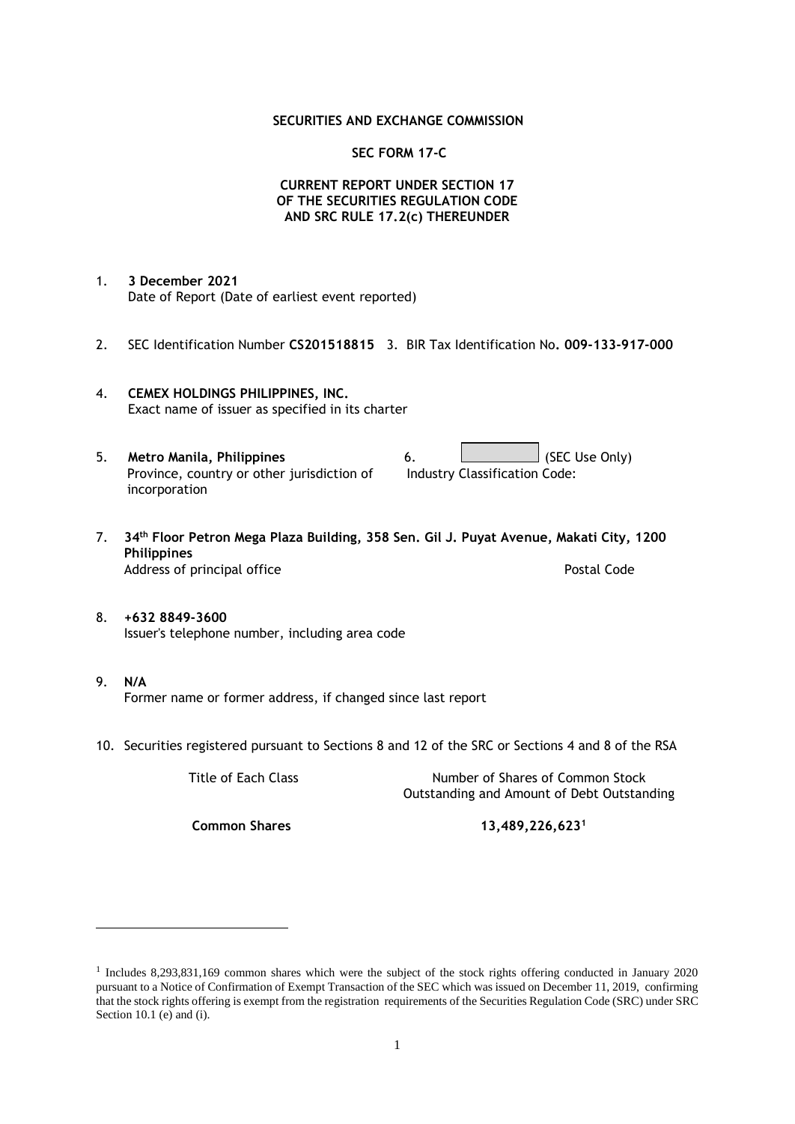### **SECURITIES AND EXCHANGE COMMISSION**

### **SEC FORM 17-C**

## **CURRENT REPORT UNDER SECTION 17 OF THE SECURITIES REGULATION CODE AND SRC RULE 17.2(c) THEREUNDER**

- 1. **3 December 2021** Date of Report (Date of earliest event reported)
- 2. SEC Identification Number **CS201518815** 3. BIR Tax Identification No**. 009-133-917-000**
- 4. **CEMEX HOLDINGS PHILIPPINES, INC.** Exact name of issuer as specified in its charter
- 5. **Metro Manila, Philippines** 6. **Consumers 6.** (SEC Use Only) Province, country or other jurisdiction of incorporation Industry Classification Code:
- 7. **34th Floor Petron Mega Plaza Building, 358 Sen. Gil J. Puyat Avenue, Makati City, 1200 Philippines** Address of principal office **Postal Code** Postal Code
- 8. **+632 8849-3600** Issuer's telephone number, including area code
- 9. **N/A** Former name or former address, if changed since last report
- 10. Securities registered pursuant to Sections 8 and 12 of the SRC or Sections 4 and 8 of the RSA

Title of Each Class Number of Shares of Common Stock Outstanding and Amount of Debt Outstanding

**Common Shares 13,489,226,623<sup>1</sup>**

<sup>1</sup> Includes 8,293,831,169 common shares which were the subject of the stock rights offering conducted in January 2020 pursuant to a Notice of Confirmation of Exempt Transaction of the SEC which was issued on December 11, 2019, confirming that the stock rights offering is exempt from the registration requirements of the Securities Regulation Code (SRC) under SRC Section 10.1 (e) and (i).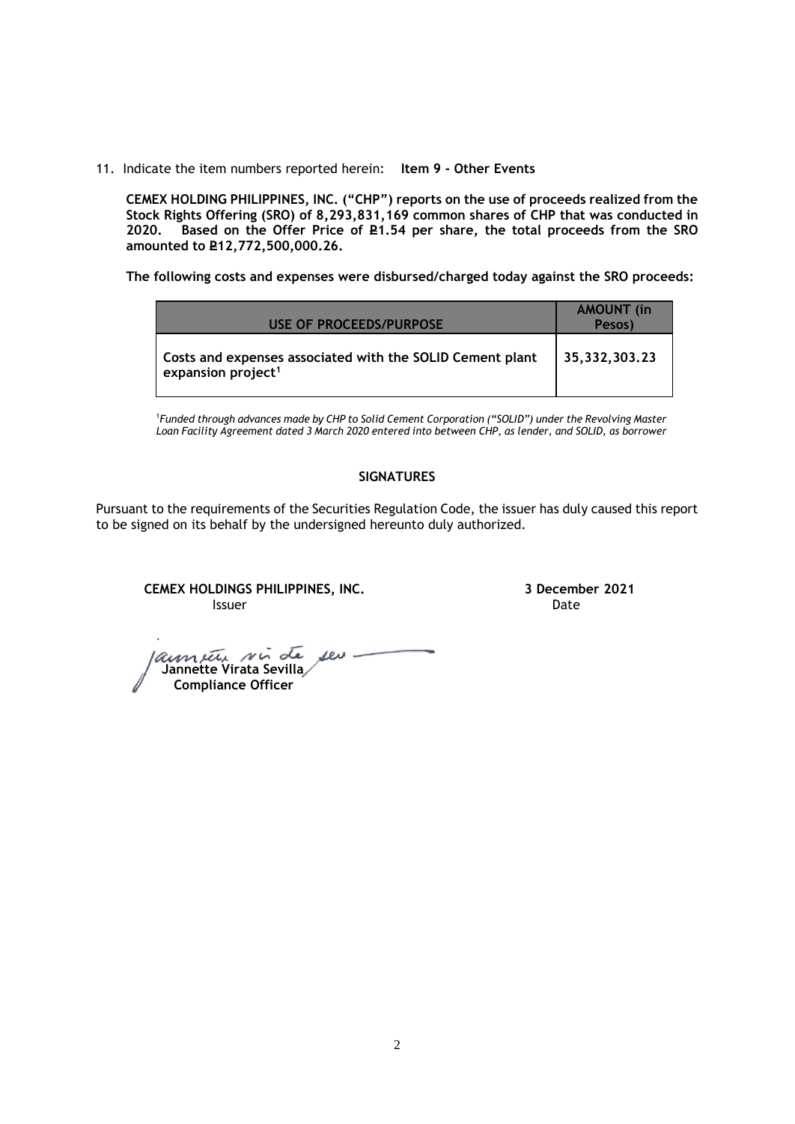11. Indicate the item numbers reported herein: **Item 9 - Other Events**

**CEMEX HOLDING PHILIPPINES, INC. ("CHP") reports on the use of proceeds realized from the Stock Rights Offering (SRO) of 8,293,831,169 common shares of CHP that was conducted in**  Based on the Offer Price of £1.54 per share, the total proceeds from the SRO **amounted to P12,772,500,000.26.** 

**The following costs and expenses were disbursed/charged today against the SRO proceeds:**

| USE OF PROCEEDS/PURPOSE                                                                     | <b>AMOUNT</b> (in<br>Pesos) |
|---------------------------------------------------------------------------------------------|-----------------------------|
| Costs and expenses associated with the SOLID Cement plant<br>expansion project <sup>1</sup> | 35,332,303.23               |

<sup>1</sup>*Funded through advances made by CHP to Solid Cement Corporation ("SOLID") under the Revolving Master Loan Facility Agreement dated 3 March 2020 entered into between CHP, as lender, and SOLID, as borrower*

## **SIGNATURES**

Pursuant to the requirements of the Securities Regulation Code, the issuer has duly caused this report to be signed on its behalf by the undersigned hereunto duly authorized.

**CEMEX HOLDINGS PHILIPPINES, INC. 3 December 2021 Issuer Date of the Community of the Community Community Community Community Community Community Community Community** 

launier sir de seu  **Jannette Virata Sevilla Compliance Officer**